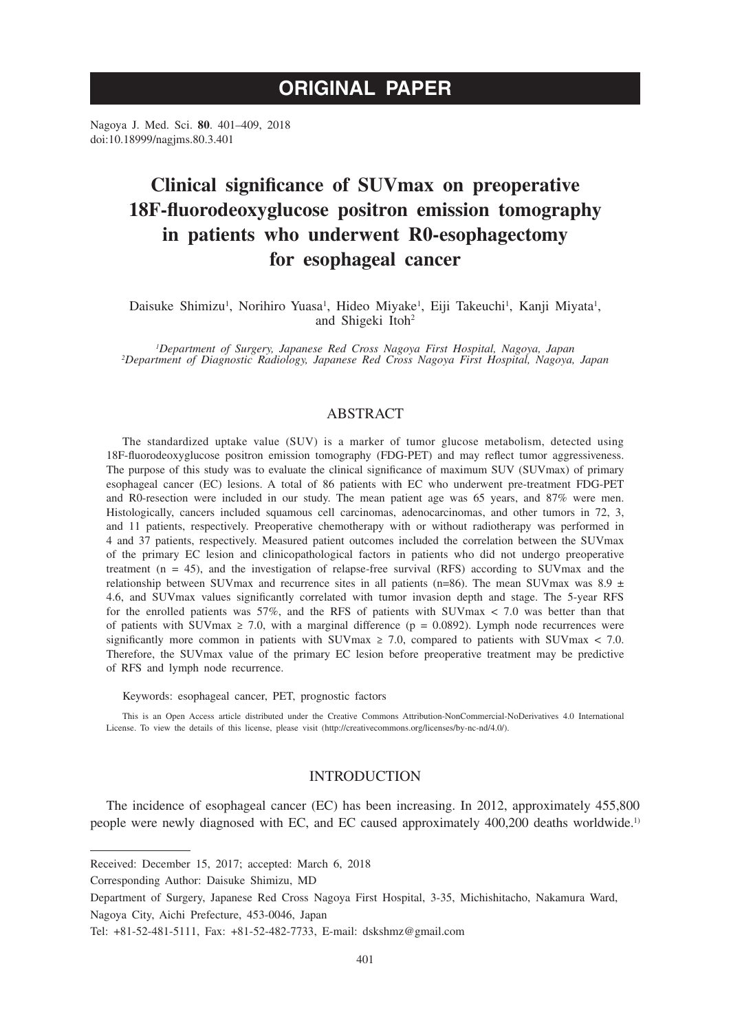# **ORIGINAL PAPER**

Nagoya J. Med. Sci. **80**. 401–409, 2018 doi:10.18999/nagjms.80.3.401

# **Clinical significance of SUVmax on preoperative 18F-fluorodeoxyglucose positron emission tomography in patients who underwent R0-esophagectomy for esophageal cancer**

Daisuke Shimizu<sup>1</sup>, Norihiro Yuasa<sup>1</sup>, Hideo Miyake<sup>1</sup>, Eiji Takeuchi<sup>1</sup>, Kanji Miyata<sup>1</sup>, and Shigeki Itoh<sup>2</sup>

*1 Department of Surgery, Japanese Red Cross Nagoya First Hospital, Nagoya, Japan <sup>2</sup> Department of Diagnostic Radiology, Japanese Red Cross Nagoya First Hospital, Nagoya, Japan*

## ABSTRACT

The standardized uptake value (SUV) is a marker of tumor glucose metabolism, detected using 18F-fluorodeoxyglucose positron emission tomography (FDG-PET) and may reflect tumor aggressiveness. The purpose of this study was to evaluate the clinical significance of maximum SUV (SUVmax) of primary esophageal cancer (EC) lesions. A total of 86 patients with EC who underwent pre-treatment FDG-PET and R0-resection were included in our study. The mean patient age was 65 years, and 87% were men. Histologically, cancers included squamous cell carcinomas, adenocarcinomas, and other tumors in 72, 3, and 11 patients, respectively. Preoperative chemotherapy with or without radiotherapy was performed in 4 and 37 patients, respectively. Measured patient outcomes included the correlation between the SUVmax of the primary EC lesion and clinicopathological factors in patients who did not undergo preoperative treatment  $(n = 45)$ , and the investigation of relapse-free survival (RFS) according to SUV max and the relationship between SUVmax and recurrence sites in all patients (n=86). The mean SUVmax was 8.9  $\pm$ 4.6, and SUVmax values significantly correlated with tumor invasion depth and stage. The 5-year RFS for the enrolled patients was 57%, and the RFS of patients with SUVmax < 7.0 was better than that of patients with SUVmax  $\geq 7.0$ , with a marginal difference (p = 0.0892). Lymph node recurrences were significantly more common in patients with SUVmax  $\geq$  7.0, compared to patients with SUVmax  $\lt$  7.0. Therefore, the SUVmax value of the primary EC lesion before preoperative treatment may be predictive of RFS and lymph node recurrence.

Keywords: esophageal cancer, PET, prognostic factors

This is an Open Access article distributed under the Creative Commons Attribution-NonCommercial-NoDerivatives 4.0 International License. To view the details of this license, please visit (http://creativecommons.org/licenses/by-nc-nd/4.0/).

## INTRODUCTION

The incidence of esophageal cancer (EC) has been increasing. In 2012, approximately 455,800 people were newly diagnosed with EC, and EC caused approximately 400,200 deaths worldwide.<sup>1)</sup>

Received: December 15, 2017; accepted: March 6, 2018

Corresponding Author: Daisuke Shimizu, MD

Department of Surgery, Japanese Red Cross Nagoya First Hospital, 3-35, Michishitacho, Nakamura Ward, Nagoya City, Aichi Prefecture, 453-0046, Japan

Tel: +81-52-481-5111, Fax: +81-52-482-7733, E-mail: dskshmz@gmail.com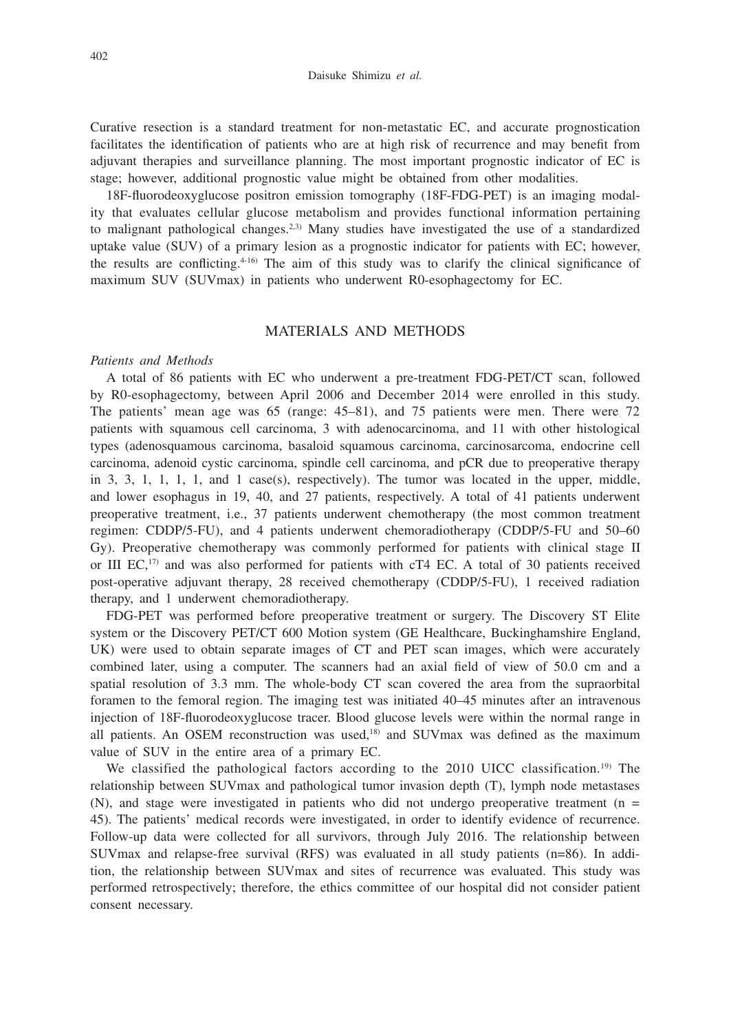Curative resection is a standard treatment for non-metastatic EC, and accurate prognostication facilitates the identification of patients who are at high risk of recurrence and may benefit from adjuvant therapies and surveillance planning. The most important prognostic indicator of EC is stage; however, additional prognostic value might be obtained from other modalities.

18F-fluorodeoxyglucose positron emission tomography (18F-FDG-PET) is an imaging modality that evaluates cellular glucose metabolism and provides functional information pertaining to malignant pathological changes.<sup>2,3)</sup> Many studies have investigated the use of a standardized uptake value (SUV) of a primary lesion as a prognostic indicator for patients with EC; however, the results are conflicting.4-16) The aim of this study was to clarify the clinical significance of maximum SUV (SUVmax) in patients who underwent R0-esophagectomy for EC.

### MATERIALS AND METHODS

#### *Patients and Methods*

A total of 86 patients with EC who underwent a pre-treatment FDG-PET/CT scan, followed by R0-esophagectomy, between April 2006 and December 2014 were enrolled in this study. The patients' mean age was 65 (range: 45–81), and 75 patients were men. There were 72 patients with squamous cell carcinoma, 3 with adenocarcinoma, and 11 with other histological types (adenosquamous carcinoma, basaloid squamous carcinoma, carcinosarcoma, endocrine cell carcinoma, adenoid cystic carcinoma, spindle cell carcinoma, and pCR due to preoperative therapy in 3, 3, 1, 1, 1, 1, and 1 case(s), respectively). The tumor was located in the upper, middle, and lower esophagus in 19, 40, and 27 patients, respectively. A total of 41 patients underwent preoperative treatment, i.e., 37 patients underwent chemotherapy (the most common treatment regimen: CDDP/5-FU), and 4 patients underwent chemoradiotherapy (CDDP/5-FU and 50–60 Gy). Preoperative chemotherapy was commonly performed for patients with clinical stage II or III EC,<sup>17)</sup> and was also performed for patients with cT4 EC. A total of 30 patients received post-operative adjuvant therapy, 28 received chemotherapy (CDDP/5-FU), 1 received radiation therapy, and 1 underwent chemoradiotherapy.

FDG-PET was performed before preoperative treatment or surgery. The Discovery ST Elite system or the Discovery PET/CT 600 Motion system (GE Healthcare, Buckinghamshire England, UK) were used to obtain separate images of CT and PET scan images, which were accurately combined later, using a computer. The scanners had an axial field of view of 50.0 cm and a spatial resolution of 3.3 mm. The whole-body CT scan covered the area from the supraorbital foramen to the femoral region. The imaging test was initiated 40–45 minutes after an intravenous injection of 18F-fluorodeoxyglucose tracer. Blood glucose levels were within the normal range in all patients. An OSEM reconstruction was used, $18$  and SUVmax was defined as the maximum value of SUV in the entire area of a primary EC.

We classified the pathological factors according to the 2010 UICC classification.<sup>19)</sup> The relationship between SUVmax and pathological tumor invasion depth (T), lymph node metastases  $(N)$ , and stage were investigated in patients who did not undergo preoperative treatment ( $n =$ 45). The patients' medical records were investigated, in order to identify evidence of recurrence. Follow-up data were collected for all survivors, through July 2016. The relationship between SUVmax and relapse-free survival (RFS) was evaluated in all study patients (n=86). In addition, the relationship between SUVmax and sites of recurrence was evaluated. This study was performed retrospectively; therefore, the ethics committee of our hospital did not consider patient consent necessary.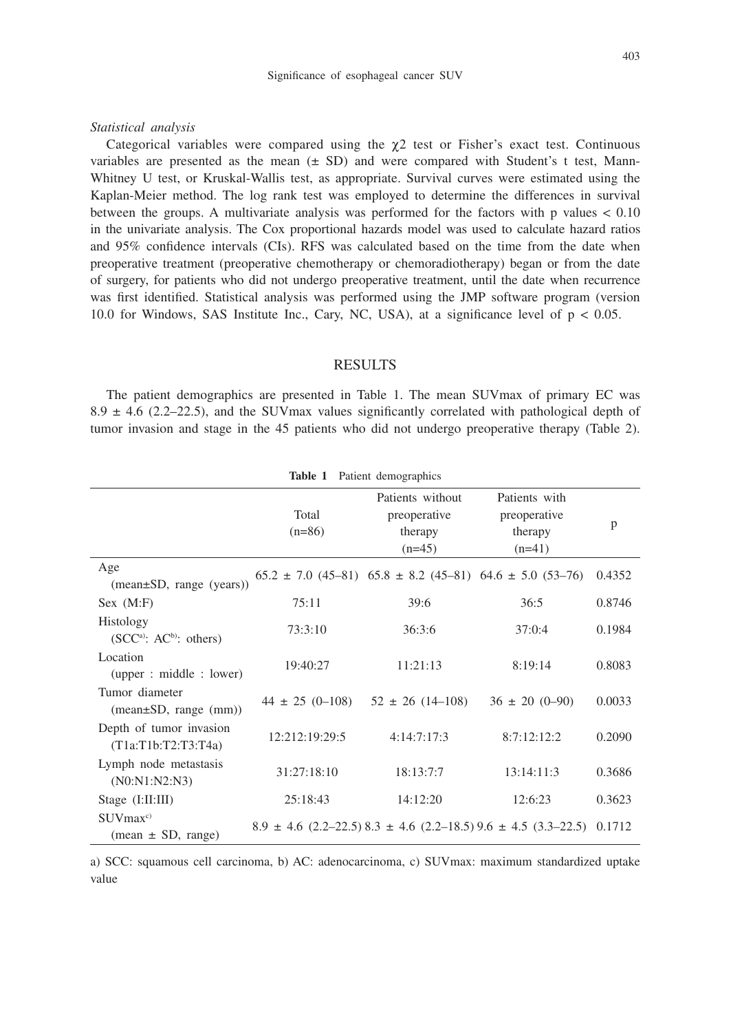#### *Statistical analysis*

Categorical variables were compared using the  $\chi$ 2 test or Fisher's exact test. Continuous variables are presented as the mean  $(\pm S)$  and were compared with Student's t test, Mann-Whitney U test, or Kruskal-Wallis test, as appropriate. Survival curves were estimated using the Kaplan-Meier method. The log rank test was employed to determine the differences in survival between the groups. A multivariate analysis was performed for the factors with p values < 0.10 in the univariate analysis. The Cox proportional hazards model was used to calculate hazard ratios and 95% confidence intervals (CIs). RFS was calculated based on the time from the date when preoperative treatment (preoperative chemotherapy or chemoradiotherapy) began or from the date of surgery, for patients who did not undergo preoperative treatment, until the date when recurrence was first identified. Statistical analysis was performed using the JMP software program (version 10.0 for Windows, SAS Institute Inc., Cary, NC, USA), at a significance level of  $p < 0.05$ .

## RESULTS

The patient demographics are presented in Table 1. The mean SUVmax of primary EC was 8.9  $\pm$  4.6 (2.2–22.5), and the SUV max values significantly correlated with pathological depth of tumor invasion and stage in the 45 patients who did not undergo preoperative therapy (Table 2).

| Table 1<br>Patient demographics                    |                   |                                                                      |                                                                                   |        |  |  |  |  |
|----------------------------------------------------|-------------------|----------------------------------------------------------------------|-----------------------------------------------------------------------------------|--------|--|--|--|--|
|                                                    | Total<br>$(n=86)$ | Patients without<br>preoperative<br>therapy<br>$(n=45)$              | Patients with<br>preoperative<br>therapy<br>$(n=41)$                              | p      |  |  |  |  |
| Age<br>$(mean \pm SD, range (years))$              |                   | $65.2 \pm 7.0$ (45-81) $65.8 \pm 8.2$ (45-81) $64.6 \pm 5.0$ (53-76) |                                                                                   | 0.4352 |  |  |  |  |
| Sex (M:F)                                          | 75:11             | 39:6                                                                 | 36:5                                                                              | 0.8746 |  |  |  |  |
| Histology<br>$(SCCa)$ : AC <sup>b</sup> ): others) | 73:3:10           | 36:3:6                                                               | 37:0:4                                                                            | 0.1984 |  |  |  |  |
| Location<br>(upper : middle : lower)               | 19:40:27          | 11:21:13                                                             | 8:19:14                                                                           | 0.8083 |  |  |  |  |
| Tumor diameter<br>$(mean \pm SD, range (mm))$      |                   | $44 \pm 25$ (0-108) $52 \pm 26$ (14-108)                             | $36 \pm 20 (0 - 90)$                                                              | 0.0033 |  |  |  |  |
| Depth of tumor invasion<br>(T1a: T1b: T2: T3: T4a) | 12:212:19:29:5    | 4:14:7:17:3                                                          | 8:7:12:12:2                                                                       | 0.2090 |  |  |  |  |
| Lymph node metastasis<br>(N0:N1:N2:N3)             | 31:27:18:10       | 18:13:7:7                                                            | 13:14:11:3                                                                        | 0.3686 |  |  |  |  |
| Stage $(I:II:III)$                                 | 25:18:43          | 14:12:20                                                             | 12:6:23                                                                           | 0.3623 |  |  |  |  |
| $SUV$ max <sup>c)</sup><br>$(mean \pm SD, range)$  |                   |                                                                      | $8.9 \pm 4.6$ (2.2–22.5) $8.3 \pm 4.6$ (2.2–18.5) $9.6 \pm 4.5$ (3.3–22.5) 0.1712 |        |  |  |  |  |

**Table 1** Patient demographics

a) SCC: squamous cell carcinoma, b) AC: adenocarcinoma, c) SUVmax: maximum standardized uptake value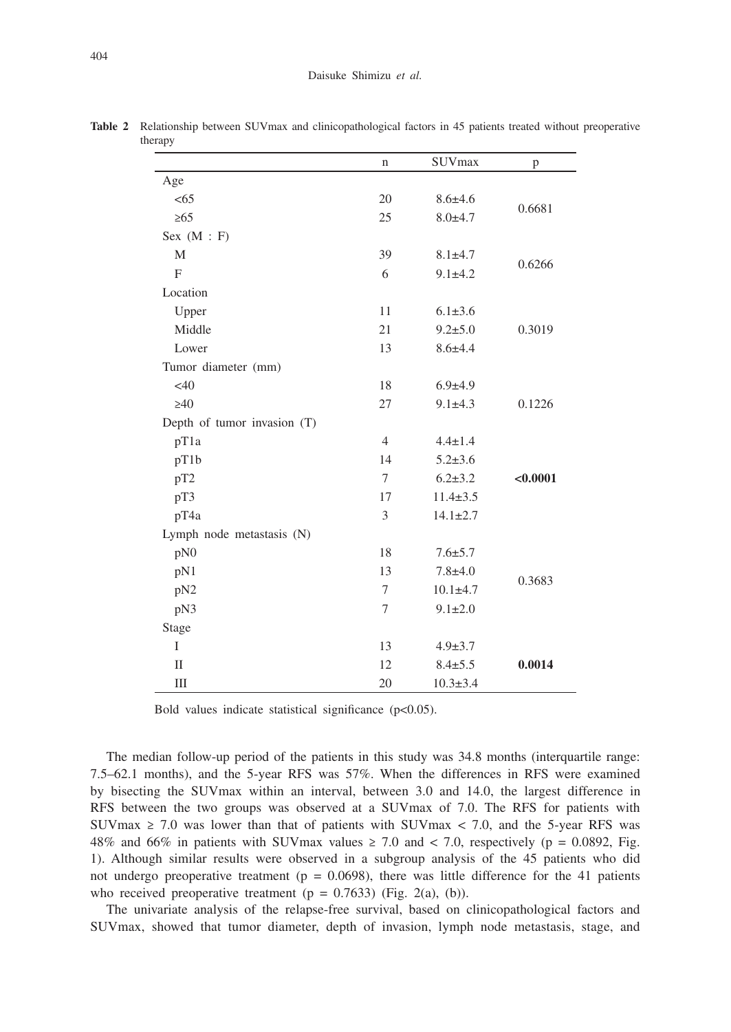|                             | $\mathbf n$    | <b>SUVmax</b>  | p        |
|-----------------------------|----------------|----------------|----------|
| Age                         |                |                |          |
| <65                         | 20             | $8.6 \pm 4.6$  |          |
| $\geq 65$                   | 25             | $8.0 + 4.7$    | 0.6681   |
| Sex $(M : F)$               |                |                |          |
| M                           | 39             | $8.1 + 4.7$    |          |
| F                           | 6              | $9.1 \pm 4.2$  | 0.6266   |
| Location                    |                |                |          |
| Upper                       | 11             | $6.1 \pm 3.6$  |          |
| Middle                      | 21             | $9.2 + 5.0$    | 0.3019   |
| Lower                       | 13             | $8.6 + 4.4$    |          |
| Tumor diameter (mm)         |                |                |          |
| $<$ 40                      | 18             | $6.9 \pm 4.9$  |          |
| $\geq 40$                   | 27             | $9.1 \pm 4.3$  | 0.1226   |
| Depth of tumor invasion (T) |                |                |          |
| pT1a                        | $\overline{4}$ | $4.4 \pm 1.4$  |          |
| pT1b                        | 14             | $5.2 \pm 3.6$  |          |
| pT <sub>2</sub>             | $\tau$         | $6.2 \pm 3.2$  | < 0.0001 |
| pT3                         | 17             | $11.4 \pm 3.5$ |          |
| pT4a                        | 3              | $14.1 \pm 2.7$ |          |
| Lymph node metastasis (N)   |                |                |          |
| pN0                         | 18             | $7.6 + 5.7$    |          |
| pN1                         | 13             | $7.8 + 4.0$    |          |
| pN2                         | $\tau$         | $10.1 + 4.7$   | 0.3683   |
| pN3                         | $\tau$         | $9.1 \pm 2.0$  |          |
| Stage                       |                |                |          |
| I                           | 13             | $4.9 \pm 3.7$  |          |
| $\mathbf{I}$                | 12             | $8.4 \pm 5.5$  | 0.0014   |
| Ш                           | 20             | $10.3 \pm 3.4$ |          |

**Table 2** Relationship between SUVmax and clinicopathological factors in 45 patients treated without preoperative therapy

Bold values indicate statistical significance  $(p<0.05)$ .

The median follow-up period of the patients in this study was 34.8 months (interquartile range: 7.5–62.1 months), and the 5-year RFS was 57%. When the differences in RFS were examined by bisecting the SUVmax within an interval, between 3.0 and 14.0, the largest difference in RFS between the two groups was observed at a SUVmax of 7.0. The RFS for patients with SUVmax  $\geq$  7.0 was lower than that of patients with SUVmax  $\lt$  7.0, and the 5-year RFS was 48% and 66% in patients with SUVmax values  $\geq 7.0$  and  $\lt 7.0$ , respectively (p = 0.0892, Fig. 1). Although similar results were observed in a subgroup analysis of the 45 patients who did not undergo preoperative treatment ( $p = 0.0698$ ), there was little difference for the 41 patients who received preoperative treatment  $(p = 0.7633)$  (Fig. 2(a), (b)).

The univariate analysis of the relapse-free survival, based on clinicopathological factors and SUVmax, showed that tumor diameter, depth of invasion, lymph node metastasis, stage, and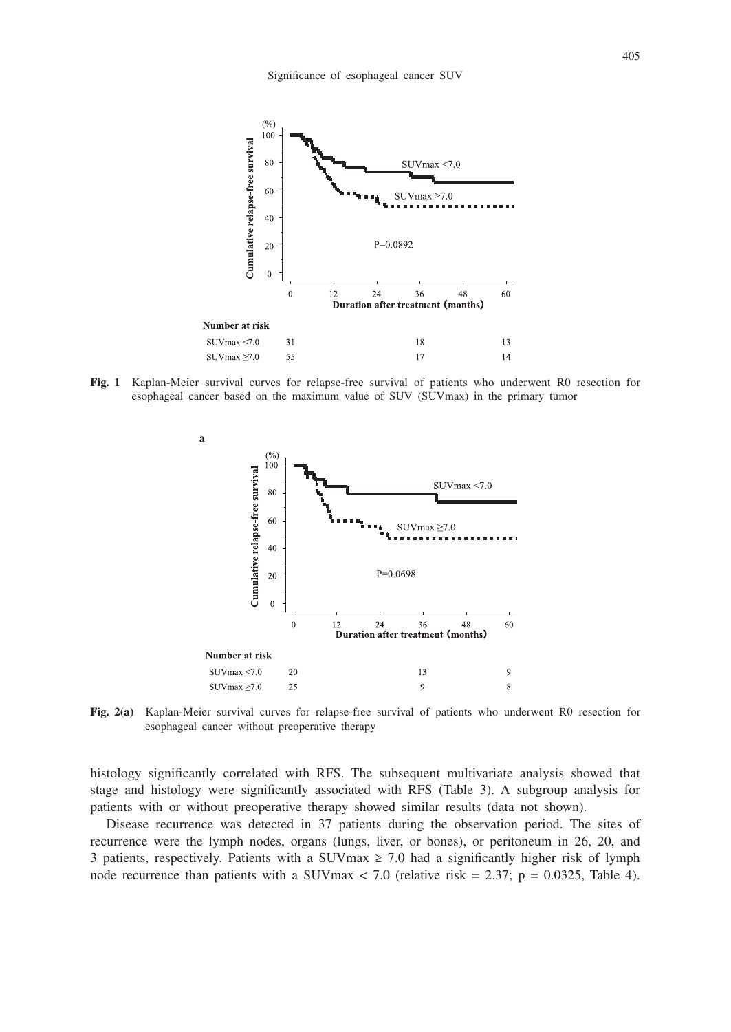

**Fig. 1** Kaplan-Meier survival curves for relapse-free survival of patients who underwent R0 resection for esophageal cancer based on the maximum value of SUV (SUVmax) in the primary tumor



**Fig. 2(a)** Kaplan-Meier survival curves for relapse-free survival of patients who underwent R0 resection for esophageal cancer without preoperative therapy

histology significantly correlated with RFS. The subsequent multivariate analysis showed that stage and histology were significantly associated with RFS (Table 3). A subgroup analysis for patients with or without preoperative therapy showed similar results (data not shown).

Disease recurrence was detected in 37 patients during the observation period. The sites of recurrence were the lymph nodes, organs (lungs, liver, or bones), or peritoneum in 26, 20, and 3 patients, respectively. Patients with a SUVmax  $\geq$  7.0 had a significantly higher risk of lymph node recurrence than patients with a SUVmax  $< 7.0$  (relative risk = 2.37; p = 0.0325, Table 4).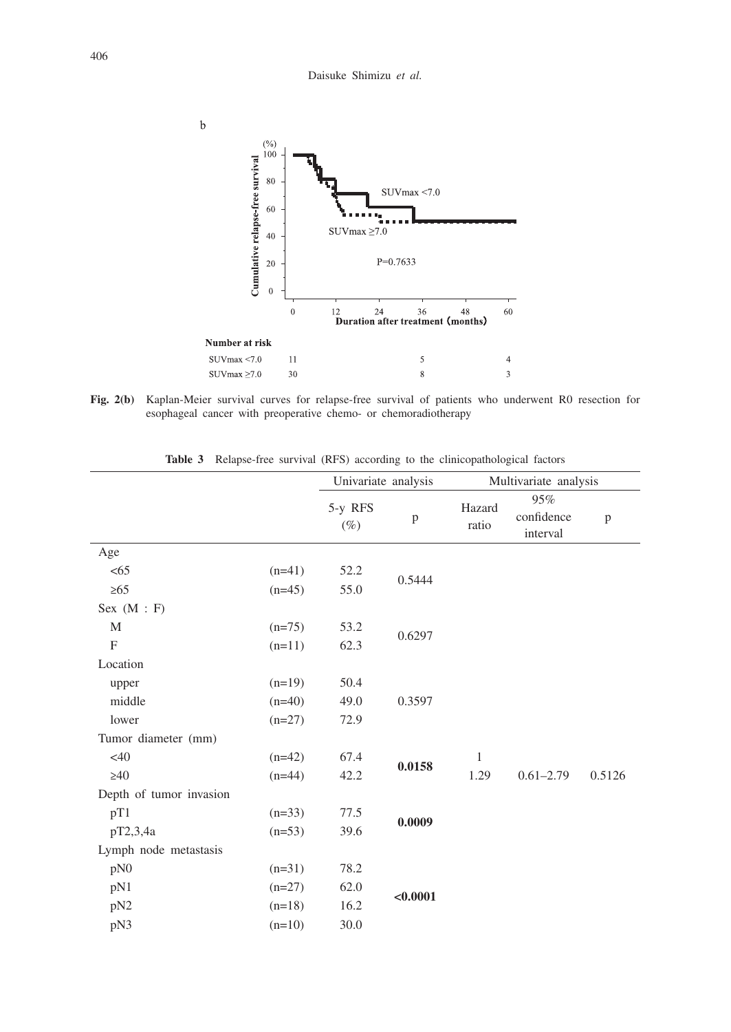

**Fig. 2(b)** Kaplan-Meier survival curves for relapse-free survival of patients who underwent R0 resection for esophageal cancer with preoperative chemo- or chemoradiotherapy

|                         |          | Relapse-free survival (RFS) according to the emileopathological factors<br>Univariate analysis |          |                       |                               |        |  |
|-------------------------|----------|------------------------------------------------------------------------------------------------|----------|-----------------------|-------------------------------|--------|--|
|                         |          |                                                                                                |          | Multivariate analysis |                               |        |  |
|                         |          | 5-y RFS<br>$(\%)$                                                                              | p        | Hazard<br>ratio       | 95%<br>confidence<br>interval | p      |  |
| Age                     |          |                                                                                                |          |                       |                               |        |  |
| < 65                    | $(n=41)$ | 52.2                                                                                           | 0.5444   |                       |                               |        |  |
| $\geq 65$               | $(n=45)$ | 55.0                                                                                           |          |                       |                               |        |  |
| Sex $(M : F)$           |          |                                                                                                |          |                       |                               |        |  |
| M                       | $(n=75)$ | 53.2                                                                                           |          |                       |                               |        |  |
| $\mathbf{F}$            | $(n=11)$ | 62.3                                                                                           | 0.6297   |                       |                               |        |  |
| Location                |          |                                                                                                |          |                       |                               |        |  |
| upper                   | $(n=19)$ | 50.4                                                                                           |          |                       |                               |        |  |
| middle                  | $(n=40)$ | 49.0                                                                                           | 0.3597   |                       |                               |        |  |
| lower                   | $(n=27)$ | 72.9                                                                                           |          |                       |                               |        |  |
| Tumor diameter (mm)     |          |                                                                                                |          |                       |                               |        |  |
| $<$ 40                  | $(n=42)$ | 67.4                                                                                           | 0.0158   | 1                     |                               |        |  |
| $\geq 40$               | $(n=44)$ | 42.2                                                                                           |          | 1.29                  | $0.61 - 2.79$                 | 0.5126 |  |
| Depth of tumor invasion |          |                                                                                                |          |                       |                               |        |  |
| pT1                     | $(n=33)$ | 77.5                                                                                           |          |                       |                               |        |  |
| pT2,3,4a                | $(n=53)$ | 39.6                                                                                           | 0.0009   |                       |                               |        |  |
| Lymph node metastasis   |          |                                                                                                |          |                       |                               |        |  |
| pN0                     | $(n=31)$ | 78.2                                                                                           |          |                       |                               |        |  |
| pN1                     | $(n=27)$ | 62.0                                                                                           |          |                       |                               |        |  |
| pN2                     | $(n=18)$ | 16.2                                                                                           | < 0.0001 |                       |                               |        |  |
| pN3                     | $(n=10)$ | 30.0                                                                                           |          |                       |                               |        |  |

**Table 3** Relapse-free survival (RFS) according to the clinicopathological factors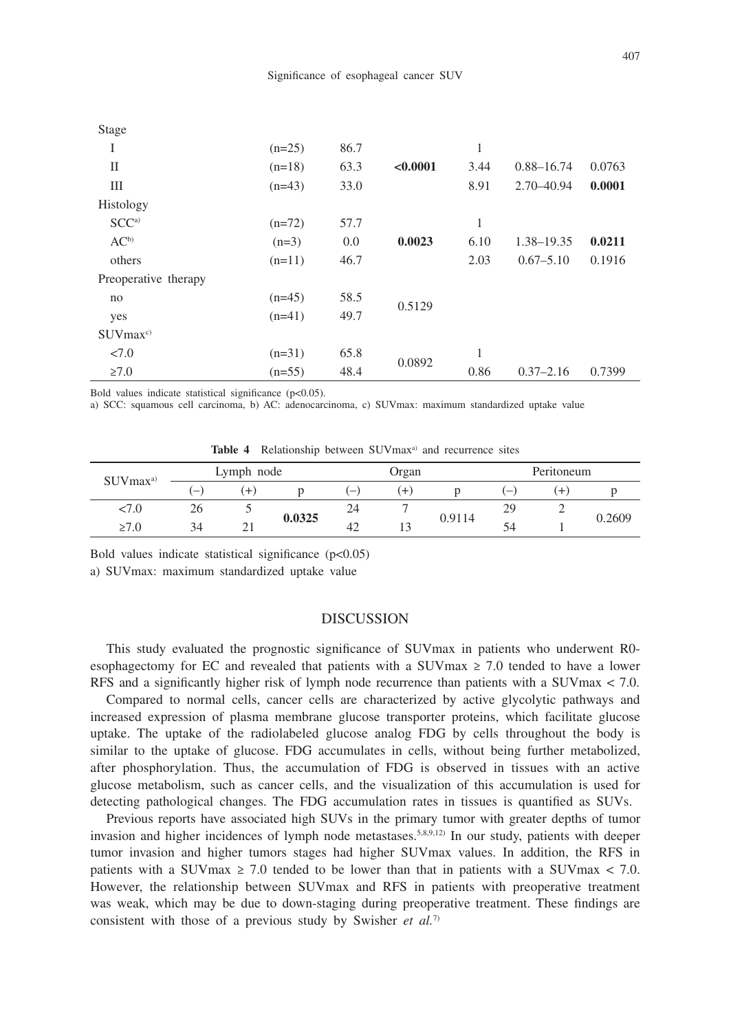| Stage                       |          |      |          |      |                |        |
|-----------------------------|----------|------|----------|------|----------------|--------|
| I                           | $(n=25)$ | 86.7 |          | 1    |                |        |
| П                           | $(n=18)$ | 63.3 | < 0.0001 | 3.44 | $0.88 - 16.74$ | 0.0763 |
| Ш                           | $(n=43)$ | 33.0 |          | 8.91 | 2.70-40.94     | 0.0001 |
| Histology                   |          |      |          |      |                |        |
| SCC <sup>a</sup>            | $(n=72)$ | 57.7 |          | 1    |                |        |
| $AC^b$                      | $(n=3)$  | 0.0  | 0.0023   | 6.10 | 1.38-19.35     | 0.0211 |
| others                      | $(n=11)$ | 46.7 |          | 2.03 | $0.67 - 5.10$  | 0.1916 |
| Preoperative therapy        |          |      |          |      |                |        |
| no                          | $(n=45)$ | 58.5 | 0.5129   |      |                |        |
| yes                         | $(n=41)$ | 49.7 |          |      |                |        |
| $\rm{SUVmax}$ <sup>c)</sup> |          |      |          |      |                |        |
| <7.0                        | $(n=31)$ | 65.8 | 0.0892   | 1    |                |        |
| $\geq 7.0$                  | $(n=55)$ | 48.4 |          | 0.86 | $0.37 - 2.16$  | 0.7399 |

Bold values indicate statistical significance (p<0.05).

a) SCC: squamous cell carcinoma, b) AC: adenocarcinoma, c) SUVmax: maximum standardized uptake value

Table 4 Relationship between SUVmax<sup>a)</sup> and recurrence sites

| $SUV$ max <sup>a)</sup> |                          | Lymph node |        |                          | Organ |        |    | Peritoneum |        |  |
|-------------------------|--------------------------|------------|--------|--------------------------|-------|--------|----|------------|--------|--|
|                         | $\overline{\phantom{m}}$ |            |        | $\overline{\phantom{0}}$ |       |        | _  | $\pm$      |        |  |
| 77.U                    | 26                       |            |        | 24                       |       |        | 29 |            |        |  |
| $\geq 7.0$              | 34                       |            | 0.0325 | 42                       |       | 0.9114 |    |            | 0.2609 |  |

Bold values indicate statistical significance  $(p<0.05)$ 

a) SUVmax: maximum standardized uptake value

### DISCUSSION

This study evaluated the prognostic significance of SUVmax in patients who underwent R0 esophagectomy for EC and revealed that patients with a SUVmax  $\geq$  7.0 tended to have a lower RFS and a significantly higher risk of lymph node recurrence than patients with a SUVmax < 7.0.

Compared to normal cells, cancer cells are characterized by active glycolytic pathways and increased expression of plasma membrane glucose transporter proteins, which facilitate glucose uptake. The uptake of the radiolabeled glucose analog FDG by cells throughout the body is similar to the uptake of glucose. FDG accumulates in cells, without being further metabolized, after phosphorylation. Thus, the accumulation of FDG is observed in tissues with an active glucose metabolism, such as cancer cells, and the visualization of this accumulation is used for detecting pathological changes. The FDG accumulation rates in tissues is quantified as SUVs.

Previous reports have associated high SUVs in the primary tumor with greater depths of tumor invasion and higher incidences of lymph node metastases.<sup>5,8,9,12)</sup> In our study, patients with deeper tumor invasion and higher tumors stages had higher SUVmax values. In addition, the RFS in patients with a SUVmax  $\geq 7.0$  tended to be lower than that in patients with a SUVmax  $\lt 7.0$ . However, the relationship between SUVmax and RFS in patients with preoperative treatment was weak, which may be due to down-staging during preoperative treatment. These findings are consistent with those of a previous study by Swisher *et al.*7)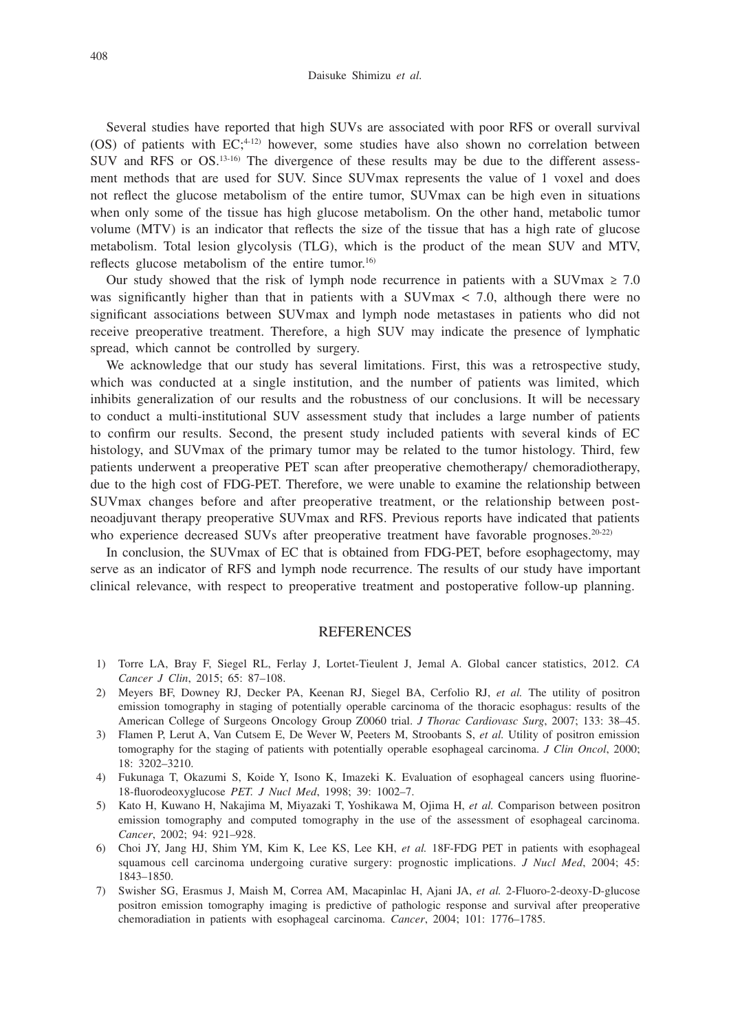Several studies have reported that high SUVs are associated with poor RFS or overall survival (OS) of patients with  $EC^{(4-12)}$  however, some studies have also shown no correlation between SUV and RFS or OS.13-16) The divergence of these results may be due to the different assessment methods that are used for SUV. Since SUVmax represents the value of 1 voxel and does not reflect the glucose metabolism of the entire tumor, SUVmax can be high even in situations when only some of the tissue has high glucose metabolism. On the other hand, metabolic tumor volume (MTV) is an indicator that reflects the size of the tissue that has a high rate of glucose metabolism. Total lesion glycolysis (TLG), which is the product of the mean SUV and MTV, reflects glucose metabolism of the entire tumor.<sup>16)</sup>

Our study showed that the risk of lymph node recurrence in patients with a SUVmax  $\geq 7.0$ was significantly higher than that in patients with a SUVmax < 7.0, although there were no significant associations between SUVmax and lymph node metastases in patients who did not receive preoperative treatment. Therefore, a high SUV may indicate the presence of lymphatic spread, which cannot be controlled by surgery.

We acknowledge that our study has several limitations. First, this was a retrospective study, which was conducted at a single institution, and the number of patients was limited, which inhibits generalization of our results and the robustness of our conclusions. It will be necessary to conduct a multi-institutional SUV assessment study that includes a large number of patients to confirm our results. Second, the present study included patients with several kinds of EC histology, and SUVmax of the primary tumor may be related to the tumor histology. Third, few patients underwent a preoperative PET scan after preoperative chemotherapy/ chemoradiotherapy, due to the high cost of FDG-PET. Therefore, we were unable to examine the relationship between SUVmax changes before and after preoperative treatment, or the relationship between postneoadjuvant therapy preoperative SUVmax and RFS. Previous reports have indicated that patients who experience decreased SUVs after preoperative treatment have favorable prognoses.<sup>20-22)</sup>

In conclusion, the SUVmax of EC that is obtained from FDG-PET, before esophagectomy, may serve as an indicator of RFS and lymph node recurrence. The results of our study have important clinical relevance, with respect to preoperative treatment and postoperative follow-up planning.

#### REFERENCES

- 1) Torre LA, Bray F, Siegel RL, Ferlay J, Lortet-Tieulent J, Jemal A. Global cancer statistics, 2012. *CA Cancer J Clin*, 2015; 65: 87–108.
- 2) Meyers BF, Downey RJ, Decker PA, Keenan RJ, Siegel BA, Cerfolio RJ, *et al.* The utility of positron emission tomography in staging of potentially operable carcinoma of the thoracic esophagus: results of the American College of Surgeons Oncology Group Z0060 trial. *J Thorac Cardiovasc Surg*, 2007; 133: 38–45.
- 3) Flamen P, Lerut A, Van Cutsem E, De Wever W, Peeters M, Stroobants S, *et al.* Utility of positron emission tomography for the staging of patients with potentially operable esophageal carcinoma. *J Clin Oncol*, 2000; 18: 3202–3210.
- 4) Fukunaga T, Okazumi S, Koide Y, Isono K, Imazeki K. Evaluation of esophageal cancers using fluorine-18-fluorodeoxyglucose *PET. J Nucl Med*, 1998; 39: 1002–7.
- 5) Kato H, Kuwano H, Nakajima M, Miyazaki T, Yoshikawa M, Ojima H, *et al.* Comparison between positron emission tomography and computed tomography in the use of the assessment of esophageal carcinoma. *Cancer*, 2002; 94: 921–928.
- 6) Choi JY, Jang HJ, Shim YM, Kim K, Lee KS, Lee KH, *et al.* 18F-FDG PET in patients with esophageal squamous cell carcinoma undergoing curative surgery: prognostic implications. *J Nucl Med*, 2004; 45: 1843–1850.
- 7) Swisher SG, Erasmus J, Maish M, Correa AM, Macapinlac H, Ajani JA, *et al.* 2-Fluoro-2-deoxy-D-glucose positron emission tomography imaging is predictive of pathologic response and survival after preoperative chemoradiation in patients with esophageal carcinoma. *Cancer*, 2004; 101: 1776–1785.